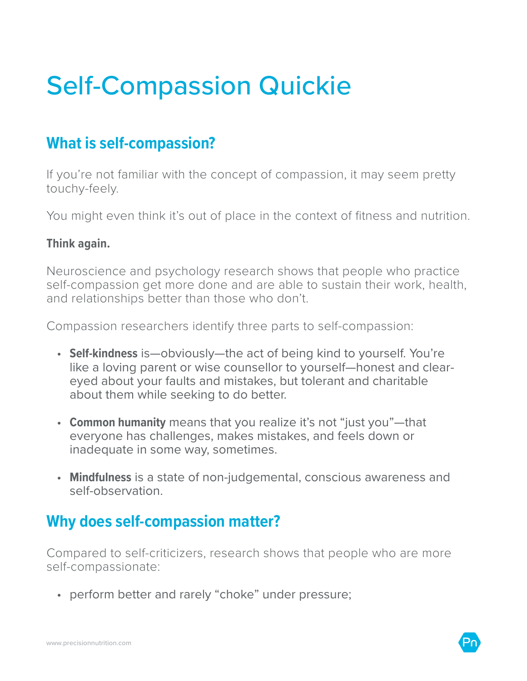# Self-Compassion Quickie

## **What is self-compassion?**

If you're not familiar with the concept of compassion, it may seem pretty touchy-feely.

You might even think it's out of place in the context of fitness and nutrition.

#### **Think again.**

Neuroscience and psychology research shows that people who practice self-compassion get more done and are able to sustain their work, health, and relationships better than those who don't.

Compassion researchers identify three parts to self-compassion:

- **Self-kindness** is—obviously—the act of being kind to yourself. You're like a loving parent or wise counsellor to yourself—honest and cleareyed about your faults and mistakes, but tolerant and charitable about them while seeking to do better.
- **Common humanity** means that you realize it's not "just you"—that everyone has challenges, makes mistakes, and feels down or inadequate in some way, sometimes.
- **Mindfulness** is a state of non-judgemental, conscious awareness and self-observation.

### **Why does self-compassion matter?**

Compared to self-criticizers, research shows that people who are more self-compassionate:

• perform better and rarely "choke" under pressure;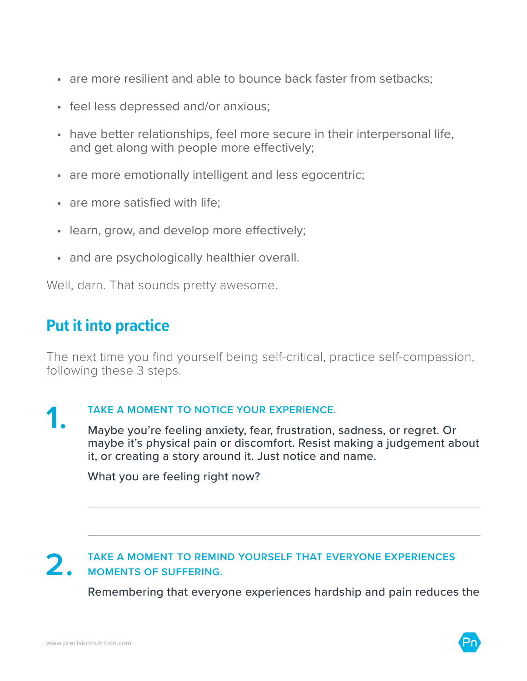- are more resilient and able to bounce back faster from setbacks;
- feel less depressed and/or anxious;
- have better relationships, feel more secure in their interpersonal life, and get along with people more effectively;
- are more emotionally intelligent and less egocentric;
- are more satisfied with life;
- learn, grow, and develop more effectively;
- and are psychologically healthier overall.

Well, darn. That sounds pretty awesome.

## **Put it into practice**

The next time you find yourself being self-critical, practice self-compassion, following these 3 steps.

TAKE A MOMENT TO NOTICE YOUR EXPERIENCE.<br>
Maybe you're feeling anxiety, fear, frustration, sadness, or regret. Or maybe it's physical pain or discomfort. Resist making a judgement about it, or creating a story around it. Just notice and name.

What you are feeling right now?

#### **2. TAKE A MOMENT TO REMIND YOURSELF THAT EVERYONE EXPERIENCES MOMENTS OF SUFFERING.**

Remembering that everyone experiences hardship and pain reduces the